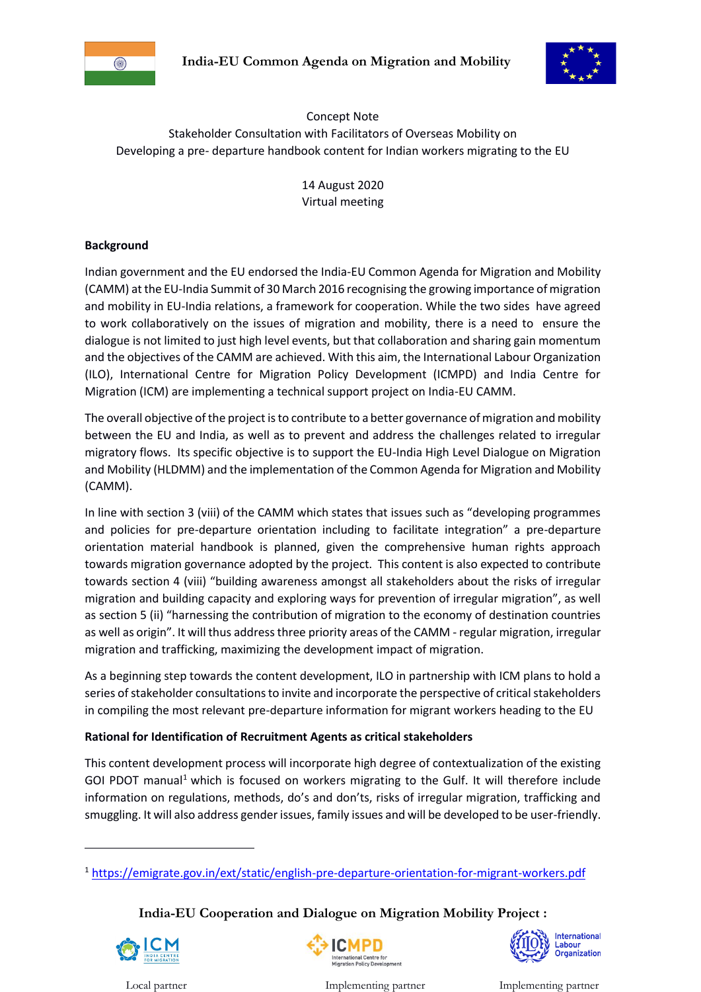



Concept Note Stakeholder Consultation with Facilitators of Overseas Mobility on Developing a pre- departure handbook content for Indian workers migrating to the EU

> 14 August 2020 Virtual meeting

## **Background**

Indian government and the EU endorsed the India-EU Common Agenda for Migration and Mobility (CAMM) at the EU-India Summit of 30 March 2016 recognising the growing importance of migration and mobility in EU-India relations, a framework for cooperation. While the two sides have agreed to work collaboratively on the issues of migration and mobility, there is a need to ensure the dialogue is not limited to just high level events, but that collaboration and sharing gain momentum and the objectives of the CAMM are achieved. With this aim, the International Labour Organization (ILO), International Centre for Migration Policy Development (ICMPD) and India Centre for Migration (ICM) are implementing a technical support project on India-EU CAMM.

The overall objective of the project is to contribute to a better governance of migration and mobility between the EU and India, as well as to prevent and address the challenges related to irregular migratory flows. Its specific objective is to support the EU-India High Level Dialogue on Migration and Mobility (HLDMM) and the implementation of the Common Agenda for Migration and Mobility (CAMM).

In line with section 3 (viii) of the CAMM which states that issues such as "developing programmes and policies for pre-departure orientation including to facilitate integration" a pre-departure orientation material handbook is planned, given the comprehensive human rights approach towards migration governance adopted by the project. This content is also expected to contribute towards section 4 (viii) "building awareness amongst all stakeholders about the risks of irregular migration and building capacity and exploring ways for prevention of irregular migration", as well as section 5 (ii) "harnessing the contribution of migration to the economy of destination countries as well as origin". It will thus address three priority areas of the CAMM - regular migration, irregular migration and trafficking, maximizing the development impact of migration.

As a beginning step towards the content development, ILO in partnership with ICM plans to hold a series of stakeholder consultations to invite and incorporate the perspective of critical stakeholders in compiling the most relevant pre-departure information for migrant workers heading to the EU

## **Rational for Identification of Recruitment Agents as critical stakeholders**

This content development process will incorporate high degree of contextualization of the existing GOI PDOT manual<sup>1</sup> which is focused on workers migrating to the Gulf. It will therefore include information on regulations, methods, do's and don'ts, risks of irregular migration, trafficking and smuggling. It will also address gender issues, family issues and will be developed to be user-friendly.

# **India-EU Cooperation and Dialogue on Migration Mobility Project :**



1



International Labour<br>Organization

Local partner Implementing partner Implementing partner

<sup>1</sup> <https://emigrate.gov.in/ext/static/english-pre-departure-orientation-for-migrant-workers.pdf>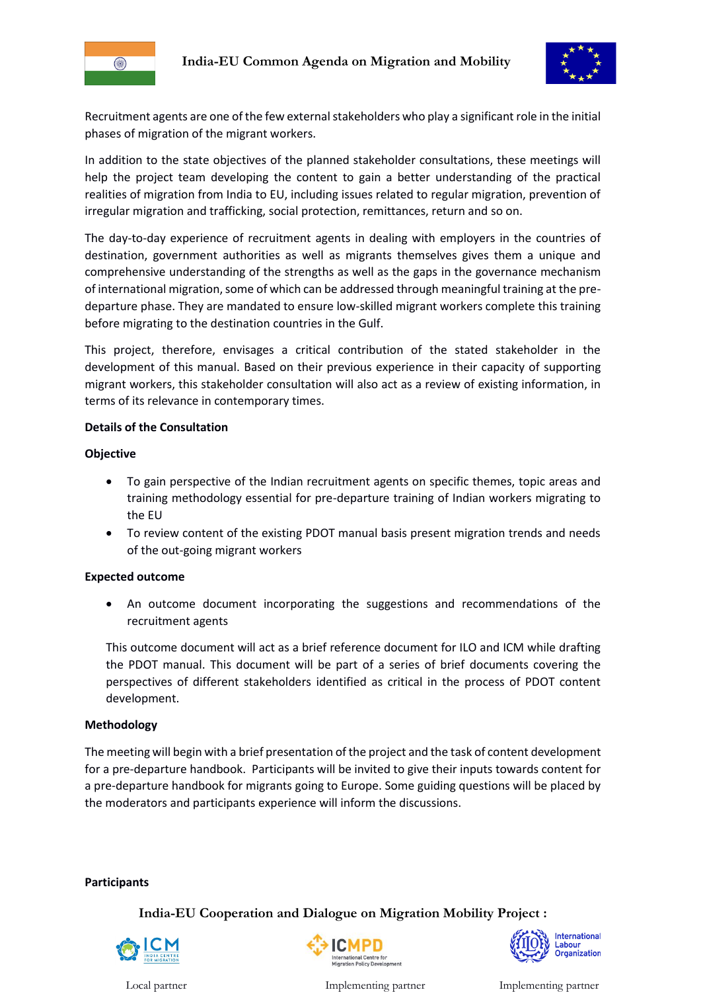





Recruitment agents are one of the few external stakeholders who play a significant role in the initial phases of migration of the migrant workers.

In addition to the state objectives of the planned stakeholder consultations, these meetings will help the project team developing the content to gain a better understanding of the practical realities of migration from India to EU, including issues related to regular migration, prevention of irregular migration and trafficking, social protection, remittances, return and so on.

The day-to-day experience of recruitment agents in dealing with employers in the countries of destination, government authorities as well as migrants themselves gives them a unique and comprehensive understanding of the strengths as well as the gaps in the governance mechanism of international migration, some of which can be addressed through meaningful training at the predeparture phase. They are mandated to ensure low-skilled migrant workers complete this training before migrating to the destination countries in the Gulf.

This project, therefore, envisages a critical contribution of the stated stakeholder in the development of this manual. Based on their previous experience in their capacity of supporting migrant workers, this stakeholder consultation will also act as a review of existing information, in terms of its relevance in contemporary times.

## **Details of the Consultation**

## **Objective**

- To gain perspective of the Indian recruitment agents on specific themes, topic areas and training methodology essential for pre-departure training of Indian workers migrating to the EU
- To review content of the existing PDOT manual basis present migration trends and needs of the out-going migrant workers

## **Expected outcome**

 An outcome document incorporating the suggestions and recommendations of the recruitment agents

This outcome document will act as a brief reference document for ILO and ICM while drafting the PDOT manual. This document will be part of a series of brief documents covering the perspectives of different stakeholders identified as critical in the process of PDOT content development.

## **Methodology**

The meeting will begin with a brief presentation of the project and the task of content development for a pre-departure handbook. Participants will be invited to give their inputs towards content for a pre-departure handbook for migrants going to Europe. Some guiding questions will be placed by the moderators and participants experience will inform the discussions.

## **Participants**

**India-EU Cooperation and Dialogue on Migration Mobility Project :** 







Local partner Implementing partner Implementing partner